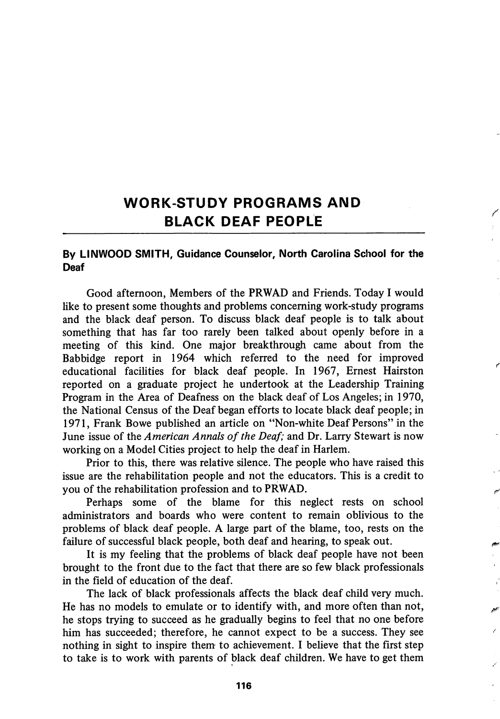## WORK-STUDY PROGRAMS AND BLACK DEAF PEOPLE

## By LINWOOD SMITH, Guidance Counselor, North Carolina School for the Deaf

Good afternoon, Members of the PRWAD and Friends. Today I would like to present some thoughts and problems concerning work-study programs and the black deaf person. To discuss black deaf people is to talk about something that has far too rarely been talked about openly before in a meeting of this kind. One major breakthrough came about from the Babbidge report in 1964 which referred to the need for improved educational facilities for black deaf people. In 1967, Ernest Hairston reported on a graduate project he undertook at the Leadership Training Program in the Area of Deafness on the black deaf of Los Angeles; in 1970, the National Census of the Deaf began efforts to locate black deaf people; in 1971, Frank Bowe published an article on "Non-white Deaf Persons" in the June issue of the American Annals of the Deaf; and Dr. Larry Stewart is now working on a Model Cities project to help the deaf in Harlem.

ŕ

Prior to this, there was relative silence. The people who have raised this issue are the rehabilitation people and not the educators. This is a credit to you of the rehabilitation profession and to PRWAD.

Perhaps some of the blame for this neglect rests on school administrators and boards who were content to remain oblivious to the problems of black deaf people. A large part of the blame, too, rests on the failure of successful black people, both deaf and hearing, to speak out.

It is my feeling that the problems of black deaf people have not been brought to the front due to the fact that there are so few black professionals in the field of education of the deaf.

The lack of black professionals affects the black deaf child very much. He has no models to emulate or to identify with, and more often than not, he stops trying to succeed as he gradually begins to feel that no one before him has succeeded; therefore, he cannot expect to be a success. They see nothing in sight to inspire them to achievement. I believe that the first step to take is to work with parents of black deaf children. We have to get them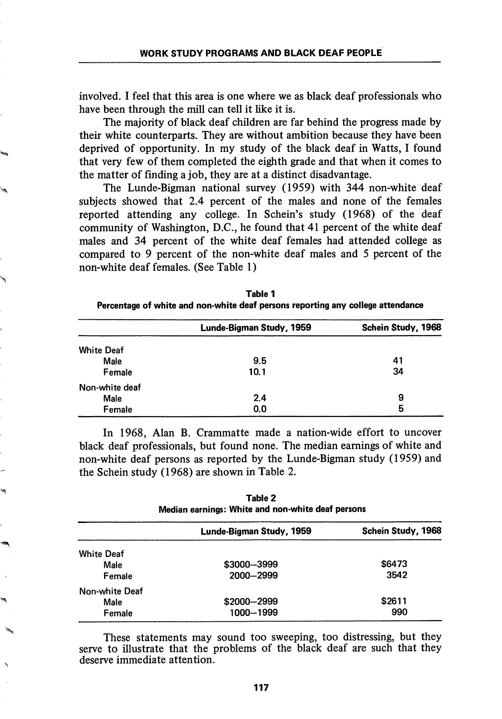involved. I feel that this area is one where we as black deaf professionals who have been through the mill can tell it like it is.

The majority of black deaf children are far behind the progress made by their white counterparts. They are without ambition because they have been deprived of opportunity. In my study of the black deaf in Watts, I found that very few of them completed the eighth grade and that when it comes to the matter of finding a job, they are at a distinct disadvantage.

The Lunde-Bigman national survey (1959) with 344 non-white deaf subjects showed that 2.4 percent of the males and none of the females reported attending any college. In Schein's study (1968) of the deaf community of Washington, D.C., he found that 41 percent of the white deaf males and 34 percent of the white deaf females had attended college as compared to 9 percent of the non-white deaf males and 5 percent of the non-white deaf females. (See Table I)

|                   | Lunde-Bigman Study, 1959 | Schein Study, 1968 |
|-------------------|--------------------------|--------------------|
| <b>White Deaf</b> |                          |                    |
| Male              | 9.5                      | 41                 |
| Female            | 10.1                     | 34                 |
| Non-white deaf    |                          |                    |
| Male              | 2.4                      | 9                  |
| Female            | 0.0                      | 5                  |

Table 1 Percentage of white and non-white deaf persons reporting any college attendance

In 1968, Alan B. Crammatte made a nation-wide effort to uncover black deaf professionals, but found none. The median earnings of white and non-white deaf persons as reported by the Lunde-Bigman study (1959) and the Schein study (1968) are shown in Table 2.

| Table 2<br>Median earnings: White and non-white deaf persons |                          |                    |
|--------------------------------------------------------------|--------------------------|--------------------|
|                                                              | Lunde-Bigman Study, 1959 | Schein Study, 1968 |
| <b>White Deaf</b>                                            |                          |                    |
| Male                                                         | \$3000-3999              | \$6473             |
| Female                                                       | 2000-2999                | 3542               |
| Non-white Deaf                                               |                          |                    |
| Male                                                         | \$2000-2999              | \$2611             |
| Female                                                       | 1000-1999                | 990                |

These statements may sound too sweeping, too distressing, but they serve to illustrate that the problems of the black deaf are such that they deserve immediate attention.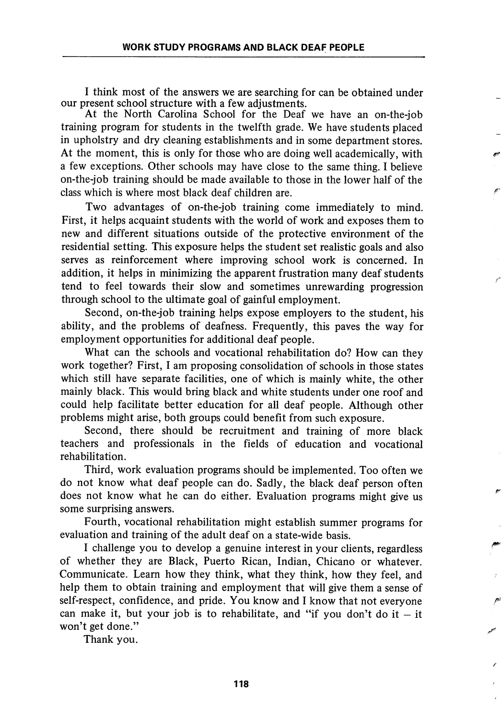I think most of the answers we are searching for can be obtained under our present school structure with a few adjustments.

At the North Carolina School for the Deaf we have an on-the-job training program for students in the twelfth grade. We have students placed in upholstry and dry cleaning establishments and in some department stores. At the moment, this is only for those who are doing well academically, with a few exceptions. Other schools may have close to the same thing. I believe on-the-job training should be made available to those in the lower half of the class which is where most black deaf children are.

Two advantages of on-the-job training come immediately to mind. First, it helps acquaint students with the world of work and exposes them to new and different situations outside of the protective environment of the residential setting. This exposure helps the student set realistic goals and also serves as reinforcement where improving school work is concerned. In addition, it helps in minimizing the apparent frustration many deaf students tend to feel towards their slow and sometimes unrewarding progression through school to the ultimate goal of gainful employment.

Second, on-the-job training helps expose employers to the student, his ability, and the problems of deafness. Frequently, this paves the way for employment opportunities for additional deaf people.

What can the schools and vocational rehabilitation do? How can they work together? First, I am proposing consolidation of schools in those states which still have separate facilities, one of which is mainly white, the other mainly black. This would bring black and white students under one roof and could help facilitate better education for all deaf people. Although other problems might arise, both groups could benefit from such exposure.

Second, there should be recruitment and training of more black teachers and professionals in the fields of education and vocational rehabilitation.

Third, work evaluation programs should be implemented. Too often we do not know what deaf people can do. Sadly, the black deaf person often does not know what he can do either. Evaluation programs might give us some surprising answers.

Fourth, vocational rehabilitation might establish summer programs for evaluation and training of the adult deaf on a state-wide basis.

I challenge you to develop a genuine interest in your clients, regardless of whether they are Black, Puerto Rican, Indian, Chicano or whatever. Communicate. Learn how they think, what they think, how they feel, and help them to obtain training and employment that will give them a sense of self-respect, confidence, and pride. You know and I know that not everyone can make it, but your job is to rehabilitate, and "if you don't do it  $-$  it won't get done."

Thank you.